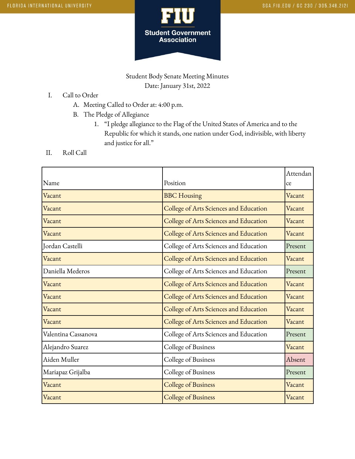

Student Body Senate Meeting Minutes Date: January 31st, 2022

- I. Call to Order
	- A. Meeting Called to Order at: 4:00 p.m.
	- B. The Pledge of Allegiance
		- 1. "I pledge allegiance to the Flag of the United States of America and to the Republic for which it stands, one nation under God, indivisible, with liberty and justice for all."
- II. Roll Call

|                     |                                        | Attendan |
|---------------------|----------------------------------------|----------|
| Name                | Position                               | ce       |
| Vacant              | <b>BBC</b> Housing                     | Vacant   |
| Vacant              | College of Arts Sciences and Education | Vacant   |
| Vacant              | College of Arts Sciences and Education | Vacant   |
| Vacant              | College of Arts Sciences and Education | Vacant   |
| Jordan Castelli     | College of Arts Sciences and Education | Present  |
| Vacant              | College of Arts Sciences and Education | Vacant   |
| Daniella Mederos    | College of Arts Sciences and Education | Present  |
| Vacant              | College of Arts Sciences and Education | Vacant   |
| Vacant              | College of Arts Sciences and Education | Vacant   |
| Vacant              | College of Arts Sciences and Education | Vacant   |
| Vacant              | College of Arts Sciences and Education | Vacant   |
| Valentina Cassanova | College of Arts Sciences and Education | Present  |
| Alejandro Suarez    | College of Business                    | Vacant   |
| Aiden Muller        | College of Business                    | Absent   |
| Mariapaz Grijalba   | College of Business                    | Present  |
| Vacant              | <b>College of Business</b>             | Vacant   |
| Vacant              | <b>College of Business</b>             | Vacant   |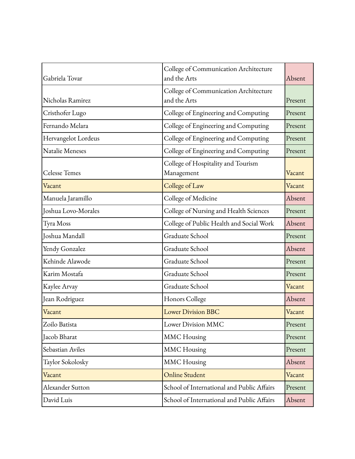| Gabriela Tovar       | College of Communication Architecture<br>and the Arts | Absent  |
|----------------------|-------------------------------------------------------|---------|
| Nicholas Ramirez     | College of Communication Architecture<br>and the Arts | Present |
| Cristhofer Lugo      | College of Engineering and Computing                  | Present |
| Fernando Melara      | College of Engineering and Computing                  | Present |
| Hervangelot Lordeus  | College of Engineering and Computing                  | Present |
| Natalie Meneses      | College of Engineering and Computing                  | Present |
| <b>Celesse Temes</b> | College of Hospitality and Tourism<br>Management      | Vacant  |
| Vacant               | College of Law                                        | Vacant  |
| Manuela Jaramillo    | College of Medicine                                   | Absent  |
| Joshua Lovo-Morales  | College of Nursing and Health Sciences                | Present |
| Tyra Moss            | College of Public Health and Social Work              | Absent  |
| Joshua Mandall       | Graduate School                                       | Present |
| Yendy Gonzalez       | Graduate School                                       | Absent  |
| Kehinde Alawode      | Graduate School                                       | Present |
| Karim Mostafa        | Graduate School                                       | Present |
| Kaylee Arvay         | Graduate School                                       | Vacant  |
| Jean Rodriguez       | Honors College                                        | Absent  |
| Vacant               | <b>Lower Division BBC</b>                             | Vacant  |
| Zoilo Batista        | Lower Division MMC                                    | Present |
| Jacob Bharat         | <b>MMC</b> Housing                                    | Present |
| Sebastian Aviles     | <b>MMC</b> Housing                                    | Present |
| Taylor Sokolosky     | <b>MMC</b> Housing                                    | Absent  |
| Vacant               | Online Student                                        | Vacant  |
| Alexander Sutton     | School of International and Public Affairs            | Present |
| David Luis           | School of International and Public Affairs            | Absent  |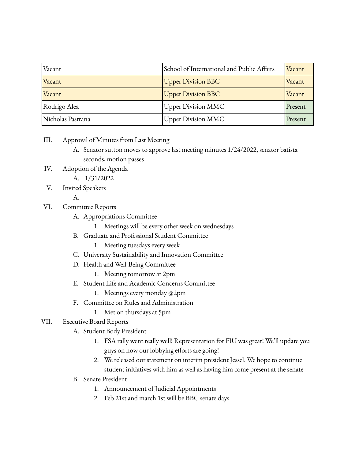| Vacant            | School of International and Public Affairs | Vacant  |
|-------------------|--------------------------------------------|---------|
| Vacant            | <b>Upper Division BBC</b>                  | Vacant  |
| Vacant            | <b>Upper Division BBC</b>                  | Vacant  |
| Rodrigo Alea      | <b>Upper Division MMC</b>                  | Present |
| Nicholas Pastrana | <b>Upper Division MMC</b>                  | Present |

- III. Approval of Minutes from Last Meeting
	- A. Senator sutton moves to approve last meeting minutes 1/24/2022, senator batista seconds, motion passes
- IV. Adoption of the Agenda
	- A. 1/31/2022
- V. Invited Speakers

A.

- VI. Committee Reports
	- A. Appropriations Committee
		- 1. Meetings will be every other week on wednesdays
	- B. Graduate and Professional Student Committee
		- 1. Meeting tuesdays every week
	- C. University Sustainability and Innovation Committee
	- D. Health and Well-Being Committee
		- 1. Meeting tomorrow at 2pm
	- E. Student Life and Academic Concerns Committee
		- 1. Meetings every monday @2pm
	- F. Committee on Rules and Administration
		- 1. Met on thursdays at 5pm
- VII. Executive Board Reports
	- A. Student Body President
		- 1. FSA rally went really well! Representation for FIU was great! We'll update you guys on how our lobbying efforts are going!
		- 2. We released our statement on interim president Jessel. We hope to continue student initiatives with him as well as having him come present at the senate
	- B. Senate President
		- 1. Announcement of Judicial Appointments
		- 2. Feb 21st and march 1st will be BBC senate days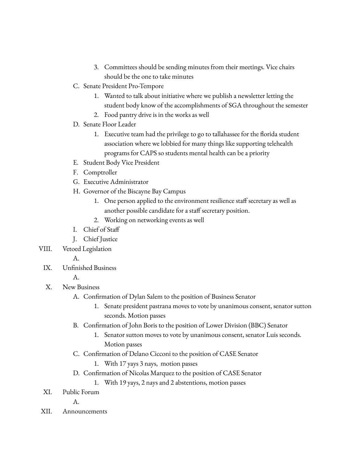- 3. Committees should be sending minutes from their meetings. Vice chairs should be the one to take minutes
- C. Senate President Pro-Tempore
	- 1. Wanted to talk about initiative where we publish a newsletter letting the student body know of the accomplishments of SGA throughout the semester
	- 2. Food pantry drive is in the works as well
- D. Senate Floor Leader
	- 1. Executive team had the privilege to go to tallahassee for the florida student association where we lobbied for many things like supporting telehealth programs for CAPS so students mental health can be a priority
- E. Student Body Vice President
- F. Comptroller
- G. Executive Administrator
- H. Governor of the Biscayne Bay Campus
	- 1. One person applied to the environment resilience staff secretary as well as another possible candidate for a staff secretary position.
	- 2. Working on networking events as well
- I. Chief of Staff
- J. Chief Justice
- VIII. Vetoed Legislation
	- A.
	- IX. Unfinished Business
		- A.
	- X. New Business
		- A. Confirmation of Dylan Salem to the position of Business Senator
			- 1. Senate president pastrana moves to vote by unanimous consent, senator sutton seconds. Motion passes
		- B. Confirmation of John Boris to the position of Lower Division (BBC) Senator
			- 1. Senator sutton moves to vote by unanimous consent, senator Luis seconds. Motion passes
		- C. Confirmation of Delano Cicconi to the position of CASE Senator
			- 1. With 17 yays 3 nays, motion passes
		- D. Confirmation of Nicolas Marquez to the position of CASE Senator
			- 1. With 19 yays, 2 nays and 2 abstentions, motion passes
	- XI. Public Forum

A.

XII. Announcements